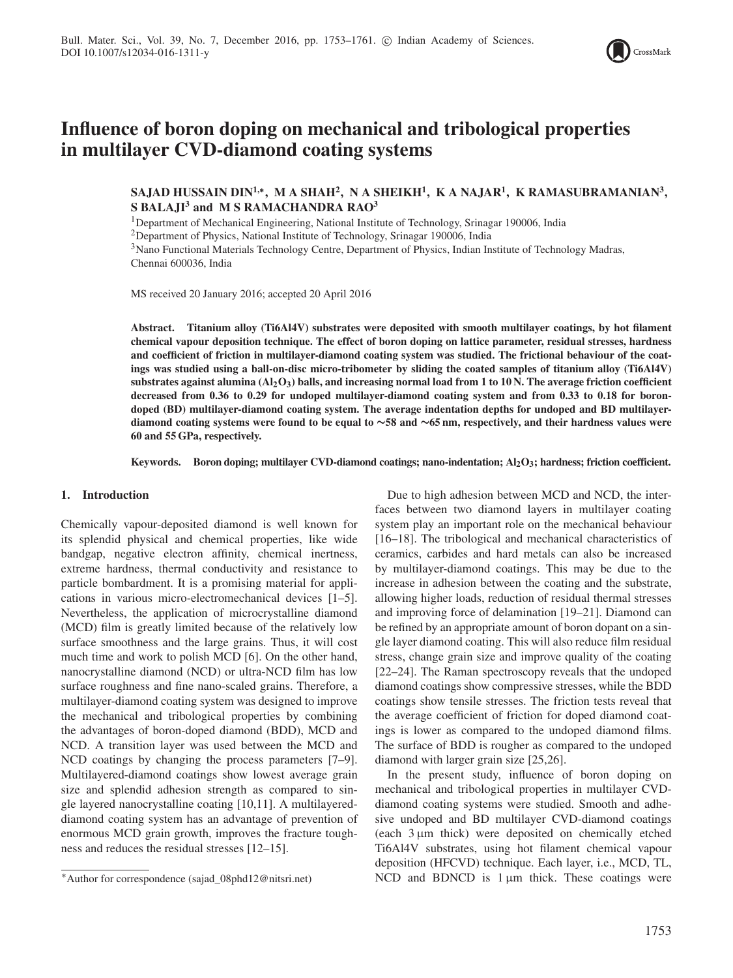

# **Influence of boron doping on mechanical and tribological properties in multilayer CVD-diamond coating systems**

**SAJAD HUSSAIN DIN1,∗, M A SHAH2, N A SHEIKH1, K A NAJAR1, K RAMASUBRAMANIAN3, S BALAJI<sup>3</sup> and M S RAMACHANDRA RAO3**

<sup>1</sup>Department of Mechanical Engineering, National Institute of Technology, Srinagar 190006, India

2Department of Physics, National Institute of Technology, Srinagar 190006, India

3Nano Functional Materials Technology Centre, Department of Physics, Indian Institute of Technology Madras, Chennai 600036, India

MS received 20 January 2016; accepted 20 April 2016

**Abstract. Titanium alloy (Ti6Al4V) substrates were deposited with smooth multilayer coatings, by hot filament chemical vapour deposition technique. The effect of boron doping on lattice parameter, residual stresses, hardness and coefficient of friction in multilayer-diamond coating system was studied. The frictional behaviour of the coatings was studied using a ball-on-disc micro-tribometer by sliding the coated samples of titanium alloy (Ti6Al4V) substrates against alumina (Al2O3) balls, and increasing normal load from 1 to 10 N. The average friction coefficient decreased from 0.36 to 0.29 for undoped multilayer-diamond coating system and from 0.33 to 0.18 for borondoped (BD) multilayer-diamond coating system. The average indentation depths for undoped and BD multilayerdiamond coating systems were found to be equal to ∼58 and ∼65 nm, respectively, and their hardness values were 60 and 55 GPa, respectively.**

**Keywords. Boron doping; multilayer CVD-diamond coatings; nano-indentation; Al2O3; hardness; friction coefficient.**

## **1. Introduction**

Chemically vapour-deposited diamond is well known for its splendid physical and chemical properties, like wide bandgap, negative electron affinity, chemical inertness, extreme hardness, thermal conductivity and resistance to particle bombardment. It is a promising material for applications in various micro-electromechanical devices [1–5]. Nevertheless, the application of microcrystalline diamond (MCD) film is greatly limited because of the relatively low surface smoothness and the large grains. Thus, it will cost much time and work to polish MCD [6]. On the other hand, nanocrystalline diamond (NCD) or ultra-NCD film has low surface roughness and fine nano-scaled grains. Therefore, a multilayer-diamond coating system was designed to improve the mechanical and tribological properties by combining the advantages of boron-doped diamond (BDD), MCD and NCD. A transition layer was used between the MCD and NCD coatings by changing the process parameters [7–9]. Multilayered-diamond coatings show lowest average grain size and splendid adhesion strength as compared to single layered nanocrystalline coating [10,11]. A multilayereddiamond coating system has an advantage of prevention of enormous MCD grain growth, improves the fracture toughness and reduces the residual stresses [12–15].

Due to high adhesion between MCD and NCD, the interfaces between two diamond layers in multilayer coating system play an important role on the mechanical behaviour [16–18]. The tribological and mechanical characteristics of ceramics, carbides and hard metals can also be increased by multilayer-diamond coatings. This may be due to the increase in adhesion between the coating and the substrate, allowing higher loads, reduction of residual thermal stresses and improving force of delamination [19–21]. Diamond can be refined by an appropriate amount of boron dopant on a single layer diamond coating. This will also reduce film residual stress, change grain size and improve quality of the coating [22–24]. The Raman spectroscopy reveals that the undoped diamond coatings show compressive stresses, while the BDD coatings show tensile stresses. The friction tests reveal that the average coefficient of friction for doped diamond coatings is lower as compared to the undoped diamond films. The surface of BDD is rougher as compared to the undoped diamond with larger grain size [25,26].

In the present study, influence of boron doping on mechanical and tribological properties in multilayer CVDdiamond coating systems were studied. Smooth and adhesive undoped and BD multilayer CVD-diamond coatings (each 3 μm thick) were deposited on chemically etched Ti6Al4V substrates, using hot filament chemical vapour deposition (HFCVD) technique. Each layer, i.e., MCD, TL, NCD and BDNCD is  $1 \mu m$  thick. These coatings were

<sup>∗</sup>Author for correspondence (sajad\_08phd12@nitsri.net)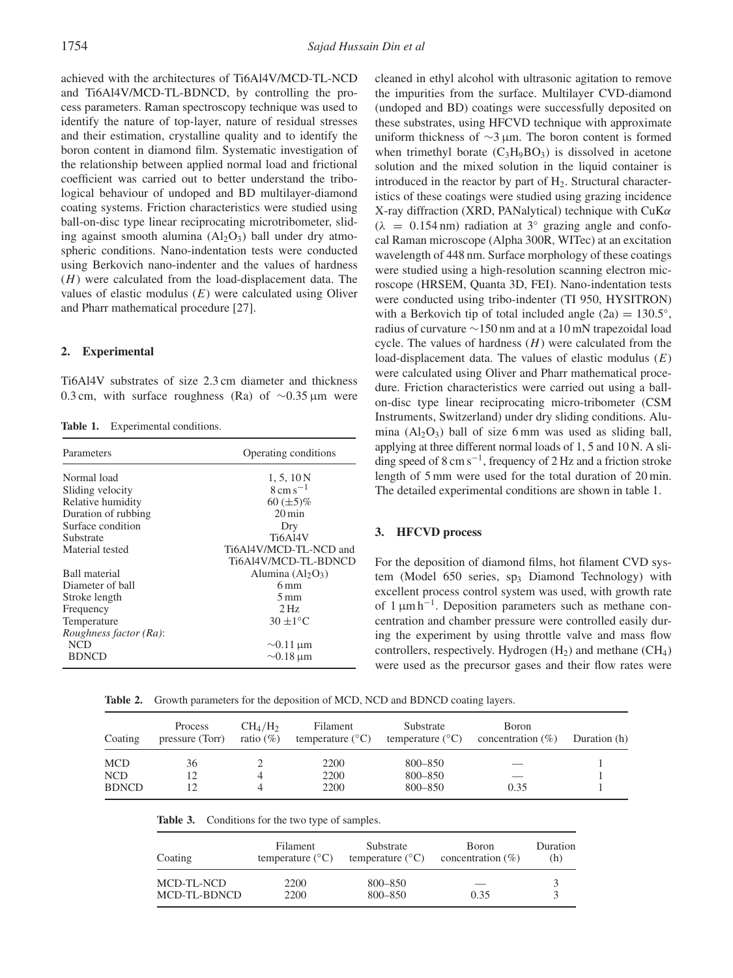achieved with the architectures of Ti6Al4V/MCD-TL-NCD and Ti6Al4V/MCD-TL-BDNCD, by controlling the process parameters. Raman spectroscopy technique was used to identify the nature of top-layer, nature of residual stresses and their estimation, crystalline quality and to identify the boron content in diamond film. Systematic investigation of the relationship between applied normal load and frictional coefficient was carried out to better understand the tribological behaviour of undoped and BD multilayer-diamond coating systems. Friction characteristics were studied using ball-on-disc type linear reciprocating microtribometer, sliding against smooth alumina  $(A<sub>1</sub>, O<sub>3</sub>)$  ball under dry atmospheric conditions. Nano-indentation tests were conducted using Berkovich nano-indenter and the values of hardness (*H*) were calculated from the load-displacement data. The values of elastic modulus (*E*) were calculated using Oliver and Pharr mathematical procedure [27].

# **2. Experimental**

Ti6Al4V substrates of size 2.3 cm diameter and thickness 0.3 cm, with surface roughness (Ra) of ∼0.35 μm were

Table 1. Experimental conditions.

| Parameters             | Operating conditions            |  |  |  |
|------------------------|---------------------------------|--|--|--|
| Normal load            | 1, 5, 10N                       |  |  |  |
| Sliding velocity       | $8 \mathrm{cm} \mathrm{s}^{-1}$ |  |  |  |
| Relative humidity      | 60 $(\pm 5)\%$                  |  |  |  |
| Duration of rubbing    | $20 \,\mathrm{min}$             |  |  |  |
| Surface condition      | Dry                             |  |  |  |
| Substrate              | <b>Ti6A14V</b>                  |  |  |  |
| Material tested        | Ti6Al4V/MCD-TL-NCD and          |  |  |  |
|                        | Ti6A14V/MCD-TL-BDNCD            |  |  |  |
| <b>Ball material</b>   | Alumina $(AI_2O_3)$             |  |  |  |
| Diameter of ball       | $6 \,\mathrm{mm}$               |  |  |  |
| Stroke length          | $5 \,\mathrm{mm}$               |  |  |  |
| Frequency              | $2\,\mathrm{Hz}$                |  |  |  |
| Temperature            | $30 \pm 1^{\circ}$ C            |  |  |  |
| Roughness factor (Ra): |                                 |  |  |  |
| NCD                    | $\sim 0.11 \,\mathrm{\mu m}$    |  |  |  |
| <b>BDNCD</b>           | $\sim$ 0.18 µm                  |  |  |  |

cleaned in ethyl alcohol with ultrasonic agitation to remove the impurities from the surface. Multilayer CVD-diamond (undoped and BD) coatings were successfully deposited on these substrates, using HFCVD technique with approximate uniform thickness of ∼3 μm. The boron content is formed when trimethyl borate  $(C_3H_9BO_3)$  is dissolved in acetone solution and the mixed solution in the liquid container is introduced in the reactor by part of  $H<sub>2</sub>$ . Structural characteristics of these coatings were studied using grazing incidence X-ray diffraction (XRD, PANalytical) technique with CuK*α*  $(\lambda = 0.154 \text{ nm})$  radiation at 3<sup>°</sup> grazing angle and confocal Raman microscope (Alpha 300R, WITec) at an excitation wavelength of 448 nm. Surface morphology of these coatings were studied using a high-resolution scanning electron microscope (HRSEM, Quanta 3D, FEI). Nano-indentation tests were conducted using tribo-indenter (TI 950, HYSITRON) with a Berkovich tip of total included angle  $(2a) = 130.5°$ , radius of curvature ∼150 nm and at a 10 mN trapezoidal load cycle. The values of hardness (*H*) were calculated from the load-displacement data. The values of elastic modulus (*E*) were calculated using Oliver and Pharr mathematical procedure. Friction characteristics were carried out using a ballon-disc type linear reciprocating micro-tribometer (CSM Instruments, Switzerland) under dry sliding conditions. Alumina  $(Al_2O_3)$  ball of size 6 mm was used as sliding ball, applying at three different normal loads of 1, 5 and 10 N. A sliding speed of  $8 \text{ cm s}^{-1}$ , frequency of 2 Hz and a friction stroke length of 5 mm were used for the total duration of 20 min. The detailed experimental conditions are shown in table 1.

# **3. HFCVD process**

For the deposition of diamond films, hot filament CVD system (Model 650 series,  $sp_3$  Diamond Technology) with excellent process control system was used, with growth rate of  $1 \mu m h^{-1}$ . Deposition parameters such as methane concentration and chamber pressure were controlled easily during the experiment by using throttle valve and mass flow controllers, respectively. Hydrogen  $(H<sub>2</sub>)$  and methane  $(CH<sub>4</sub>)$ were used as the precursor gases and their flow rates were

**Table 2.** Growth parameters for the deposition of MCD, NCD and BDNCD coating layers.

| Coating             | Process<br>pressure (Torr) | $CH_4/H_2$<br>ratio $(\%)$ | Filament<br>temperature $(^{\circ}C)$ | Substrate<br>temperature $(^{\circ}C)$ | <b>Boron</b><br>concentration $(\%)$ | Duration (h) |
|---------------------|----------------------------|----------------------------|---------------------------------------|----------------------------------------|--------------------------------------|--------------|
| MCD<br>NCD<br>BDNCD | 36<br>12<br>12             |                            | 2200<br>2200<br>2200                  | 800-850<br>800-850<br>800-850          | 0.35                                 |              |

| Table 3. | Conditions for the two type of samples. |  |  |  |
|----------|-----------------------------------------|--|--|--|
|----------|-----------------------------------------|--|--|--|

| Coating                    | Filament                  | Substrate                 | <b>Boron</b>         | Duration |
|----------------------------|---------------------------|---------------------------|----------------------|----------|
|                            | temperature $(^{\circ}C)$ | temperature $(^{\circ}C)$ | concentration $(\%)$ | (h)      |
| MCD-TL-NCD<br>MCD-TL-BDNCD | 2200<br>2200              | 800-850<br>$800 - 850$    | 0.35                 |          |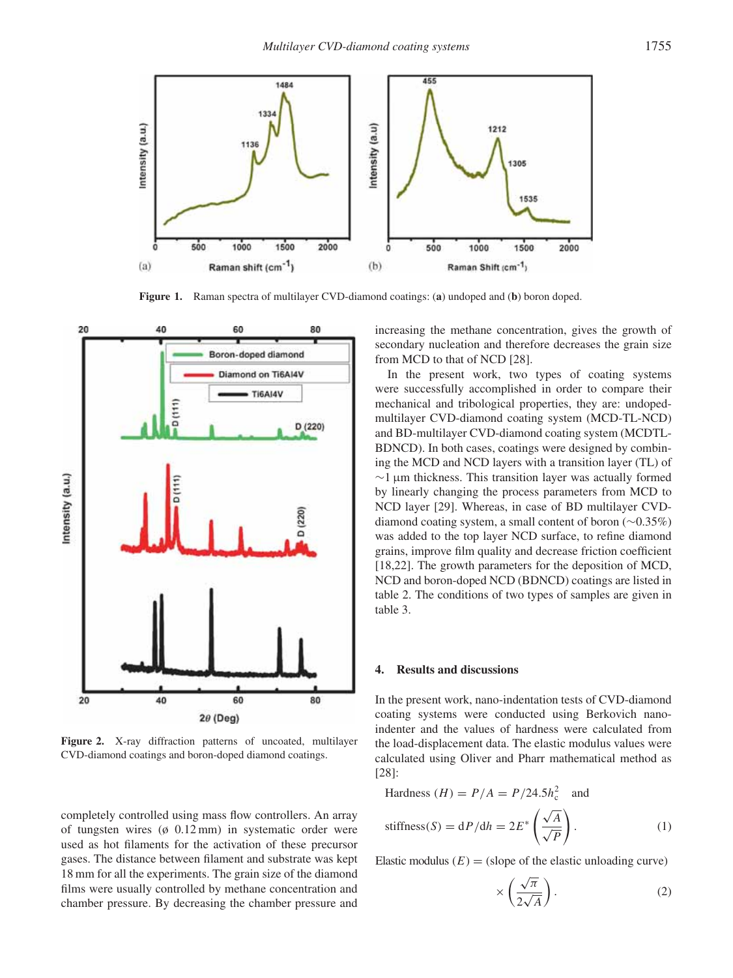

**Figure 1.** Raman spectra of multilayer CVD-diamond coatings: (**a**) undoped and (**b**) boron doped.



**Figure 2.** X-ray diffraction patterns of uncoated, multilayer CVD-diamond coatings and boron-doped diamond coatings.

completely controlled using mass flow controllers. An array of tungsten wires (ø 0.12 mm) in systematic order were used as hot filaments for the activation of these precursor gases. The distance between filament and substrate was kept 18 mm for all the experiments. The grain size of the diamond films were usually controlled by methane concentration and chamber pressure. By decreasing the chamber pressure and increasing the methane concentration, gives the growth of secondary nucleation and therefore decreases the grain size from MCD to that of NCD [28].

In the present work, two types of coating systems were successfully accomplished in order to compare their mechanical and tribological properties, they are: undopedmultilayer CVD-diamond coating system (MCD-TL-NCD) and BD-multilayer CVD-diamond coating system (MCDTL-BDNCD). In both cases, coatings were designed by combining the MCD and NCD layers with a transition layer (TL) of ∼1 μm thickness. This transition layer was actually formed by linearly changing the process parameters from MCD to NCD layer [29]. Whereas, in case of BD multilayer CVDdiamond coating system, a small content of boron (∼0.35%) was added to the top layer NCD surface, to refine diamond grains, improve film quality and decrease friction coefficient [18,22]. The growth parameters for the deposition of MCD, NCD and boron-doped NCD (BDNCD) coatings are listed in table 2. The conditions of two types of samples are given in table 3.

#### **4. Results and discussions**

In the present work, nano-indentation tests of CVD-diamond coating systems were conducted using Berkovich nanoindenter and the values of hardness were calculated from the load-displacement data. The elastic modulus values were calculated using Oliver and Pharr mathematical method as [28]:

$$
Hardness (H) = P/A = P/24.5h_c^2 \text{ and}
$$

stiffness(S) = dP/dh = 
$$
2E^* \left(\frac{\sqrt{A}}{\sqrt{P}}\right)
$$
. (1)

Elastic modulus  $(E) =$  (slope of the elastic unloading curve)

$$
\times \left(\frac{\sqrt{\pi}}{2\sqrt{A}}\right). \tag{2}
$$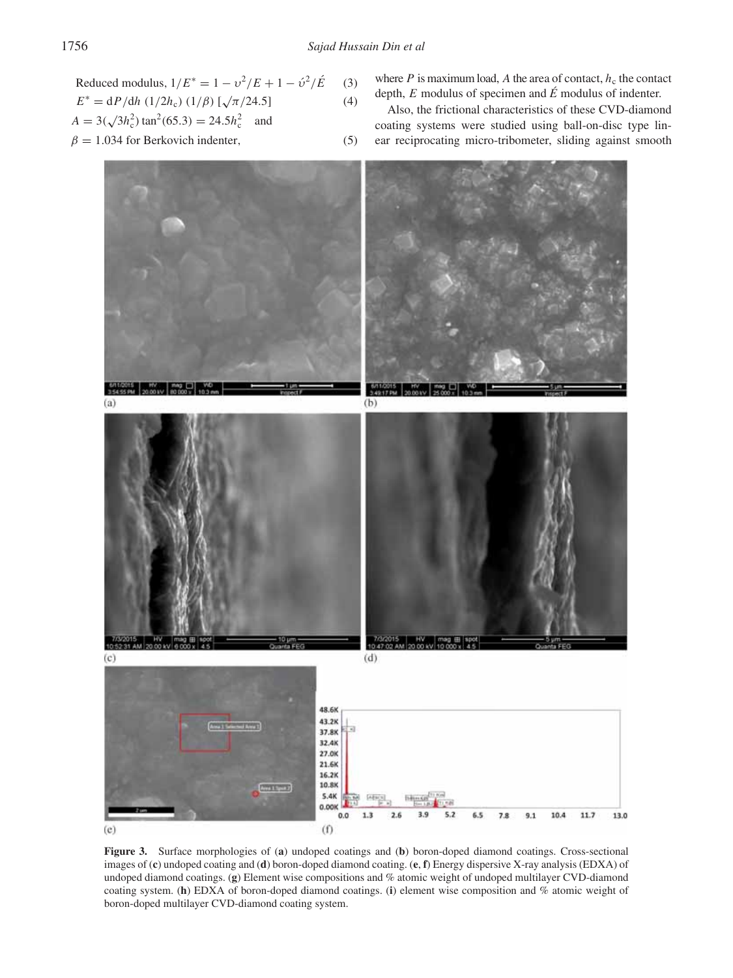Reduced modulus, 
$$
1/E^* = 1 - v^2/E + 1 - \hat{v}^2/\hat{E}
$$
 (3)

$$
E^* = dP/dh (1/2h_c) (1/\beta) [\sqrt{\pi}/24.5]
$$
 (4)

$$
A = 3(\sqrt{3}h_c^2) \tan^2(65.3) = 24.5h_c^2
$$
 and

$$
\beta = 1.034 \text{ for Berkovich indenter},\tag{5}
$$

where  $P$  is maximum load,  $A$  the area of contact,  $h_c$  the contact depth, *E* modulus of specimen and *É* modulus of indenter.

Also, the frictional characteristics of these CVD-diamond coating systems were studied using ball-on-disc type linear reciprocating micro-tribometer, sliding against smooth



**Figure 3.** Surface morphologies of (**a**) undoped coatings and (**b**) boron-doped diamond coatings. Cross-sectional images of (**c**) undoped coating and (**d**) boron-doped diamond coating. (**e**, **f**) Energy dispersive X-ray analysis (EDXA) of undoped diamond coatings. (**g**) Element wise compositions and % atomic weight of undoped multilayer CVD-diamond coating system. (**h**) EDXA of boron-doped diamond coatings. (**i**) element wise composition and % atomic weight of boron-doped multilayer CVD-diamond coating system.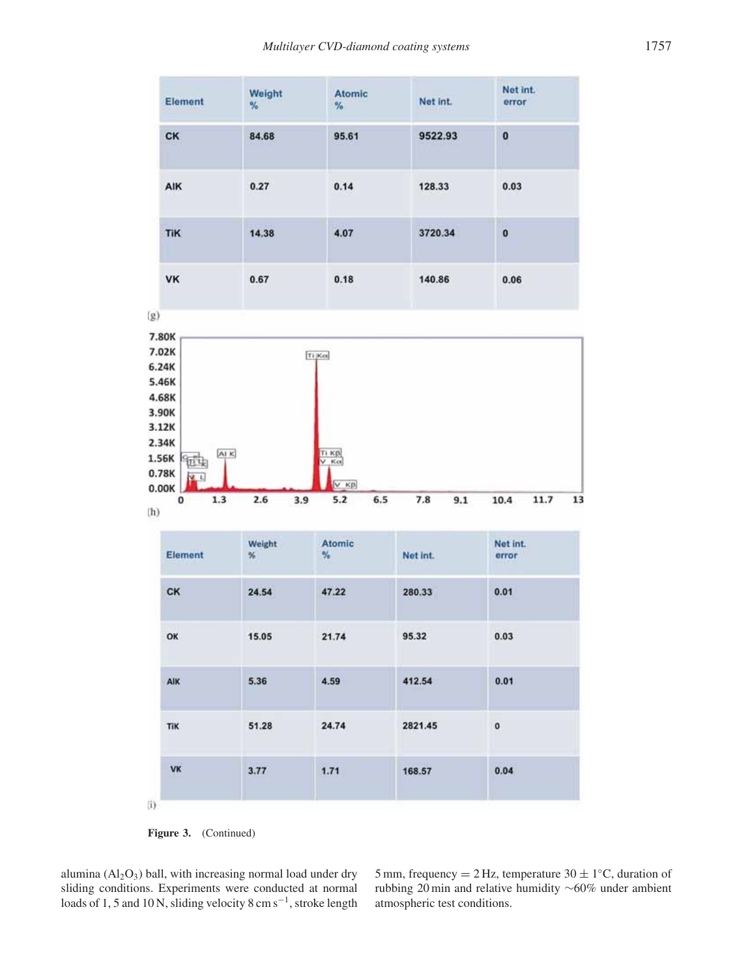| Element                      | Weight<br>$\frac{9}{6}$ | <b>Atomic</b><br>$\frac{9}{6}$ | Net int. | Net int.<br>error |
|------------------------------|-------------------------|--------------------------------|----------|-------------------|
| <b>CK</b>                    | 84.68                   | 95.61                          | 9522.93  | $\bf{0}$          |
| AIK                          | 0.27                    | 0.14                           | 128.33   | 0.03              |
| <b>STATION</b><br><b>TiK</b> | 14.38                   | 4.07                           | 3720.34  | $\bf{0}$          |
| <b>VK</b>                    | 0.67                    | 0.18                           | 140.86   | 0.06              |
| (g)                          |                         |                                |          |                   |



| Element | Weight<br>% | Atomic<br>$\%$ | Net int.                  | Net int.<br>error |
|---------|-------------|----------------|---------------------------|-------------------|
| CK      | 24.54       | 47.22          | 280.33                    | 0.01              |
| OK      | 15.05       | 21.74          | 95.32                     | 0.03              |
| AIK     | 5.36        | 4.59           | 412.54                    | 0.01              |
| TiK     | 51.28       | 24.74          | 2821.45                   | 0                 |
| VK      | 3.77        | 1.71           | <b>VINGTHAM</b><br>168.57 | 0.04              |

Figure 3. (Continued)

alumina  $(AI_2O_3)$  ball, with increasing normal load under dry sliding conditions. Experiments were conducted at normal loads of 1, 5 and 10 N, sliding velocity 8 cm s<sup>-1</sup>, stroke length

5 mm, frequency = 2 Hz, temperature  $30 \pm 1$ <sup>°</sup>C, duration of rubbing 20 min and relative humidity ∼60% under ambient atmospheric test conditions.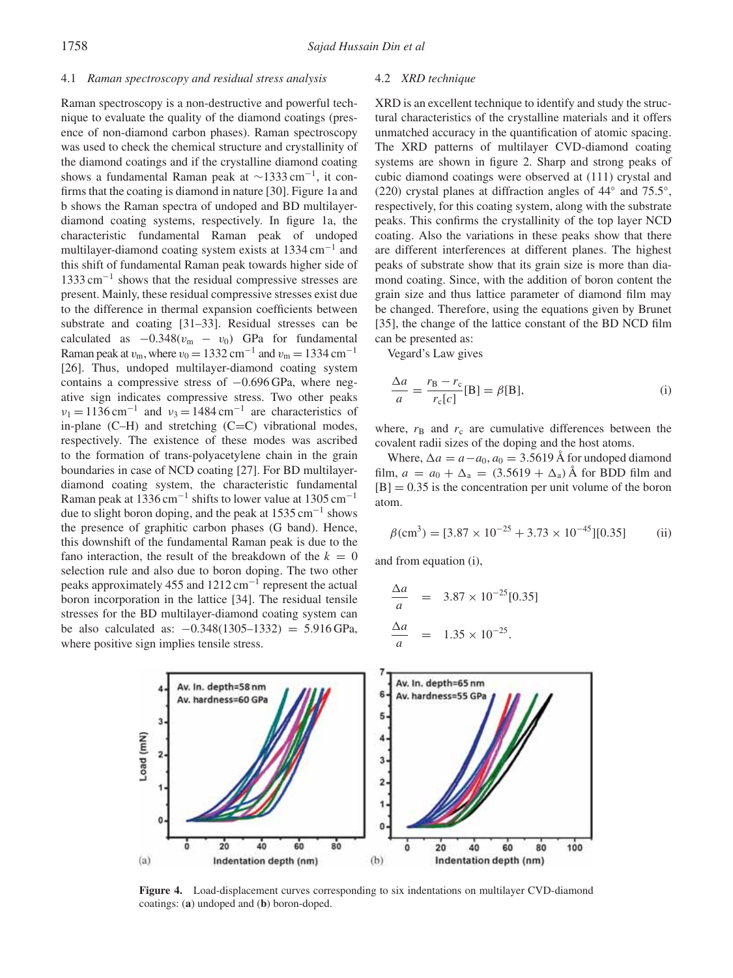## 4.1 *Raman spectroscopy and residual stress analysis*

Raman spectroscopy is a non-destructive and powerful technique to evaluate the quality of the diamond coatings (presence of non-diamond carbon phases). Raman spectroscopy was used to check the chemical structure and crystallinity of the diamond coatings and if the crystalline diamond coating shows a fundamental Raman peak at  $\sim$ 1333 cm<sup>-1</sup>, it confirms that the coating is diamond in nature [30]. Figure 1a and b shows the Raman spectra of undoped and BD multilayerdiamond coating systems, respectively. In figure 1a, the characteristic fundamental Raman peak of undoped multilayer-diamond coating system exists at 1334 cm−<sup>1</sup> and this shift of fundamental Raman peak towards higher side of 1333 cm−<sup>1</sup> shows that the residual compressive stresses are present. Mainly, these residual compressive stresses exist due to the difference in thermal expansion coefficients between substrate and coating [31–33]. Residual stresses can be calculated as  $-0.348(v_m - v_0)$  GPa for fundamental Raman peak at  $v_m$ , where  $v_0 = 1332 \text{ cm}^{-1}$  and  $v_m = 1334 \text{ cm}^{-1}$ [26]. Thus, undoped multilayer-diamond coating system contains a compressive stress of −0.696 GPa, where negative sign indicates compressive stress. Two other peaks  $v_1 = 1136$  cm<sup>-1</sup> and  $v_3 = 1484$  cm<sup>-1</sup> are characteristics of in-plane  $(C-H)$  and stretching  $(C=C)$  vibrational modes, respectively. The existence of these modes was ascribed to the formation of trans-polyacetylene chain in the grain boundaries in case of NCD coating [27]. For BD multilayerdiamond coating system, the characteristic fundamental Raman peak at 1336 cm<sup>-1</sup> shifts to lower value at 1305 cm<sup>-1</sup> due to slight boron doping, and the peak at  $1535 \text{ cm}^{-1}$  shows the presence of graphitic carbon phases (G band). Hence, this downshift of the fundamental Raman peak is due to the fano interaction, the result of the breakdown of the  $k = 0$ selection rule and also due to boron doping. The two other peaks approximately 455 and 1212 cm−<sup>1</sup> represent the actual boron incorporation in the lattice [34]. The residual tensile stresses for the BD multilayer-diamond coating system can be also calculated as: −0.348(1305–1332) = 5.916 GPa, where positive sign implies tensile stress.

#### 4.2 *XRD technique*

XRD is an excellent technique to identify and study the structural characteristics of the crystalline materials and it offers unmatched accuracy in the quantification of atomic spacing. The XRD patterns of multilayer CVD-diamond coating systems are shown in figure 2. Sharp and strong peaks of cubic diamond coatings were observed at (111) crystal and (220) crystal planes at diffraction angles of 44◦ and 75.5◦, respectively, for this coating system, along with the substrate peaks. This confirms the crystallinity of the top layer NCD coating. Also the variations in these peaks show that there are different interferences at different planes. The highest peaks of substrate show that its grain size is more than diamond coating. Since, with the addition of boron content the grain size and thus lattice parameter of diamond film may be changed. Therefore, using the equations given by Brunet [35], the change of the lattice constant of the BD NCD film can be presented as:

Vegard's Law gives

$$
\frac{\Delta a}{a} = \frac{r_B - r_c}{r_c[c]}[B] = \beta[B],\tag{i}
$$

where,  $r_B$  and  $r_c$  are cumulative differences between the covalent radii sizes of the doping and the host atoms.

Where,  $\Delta a = a - a_0$ ,  $a_0 = 3.5619$  Å for undoped diamond film,  $a = a_0 + \Delta_a = (3.5619 + \Delta_a)$  Å for BDD film and  $[B] = 0.35$  is the concentration per unit volume of the boron atom.

$$
\beta \text{(cm}^3) = [3.87 \times 10^{-25} + 3.73 \times 10^{-45}][0.35] \tag{ii}
$$

and from equation (i),

$$
\frac{\Delta a}{a} = 3.87 \times 10^{-25} [0.35]
$$
  

$$
\frac{\Delta a}{a} = 1.35 \times 10^{-25}.
$$



**Figure 4.** Load-displacement curves corresponding to six indentations on multilayer CVD-diamond coatings: (**a**) undoped and (**b**) boron-doped.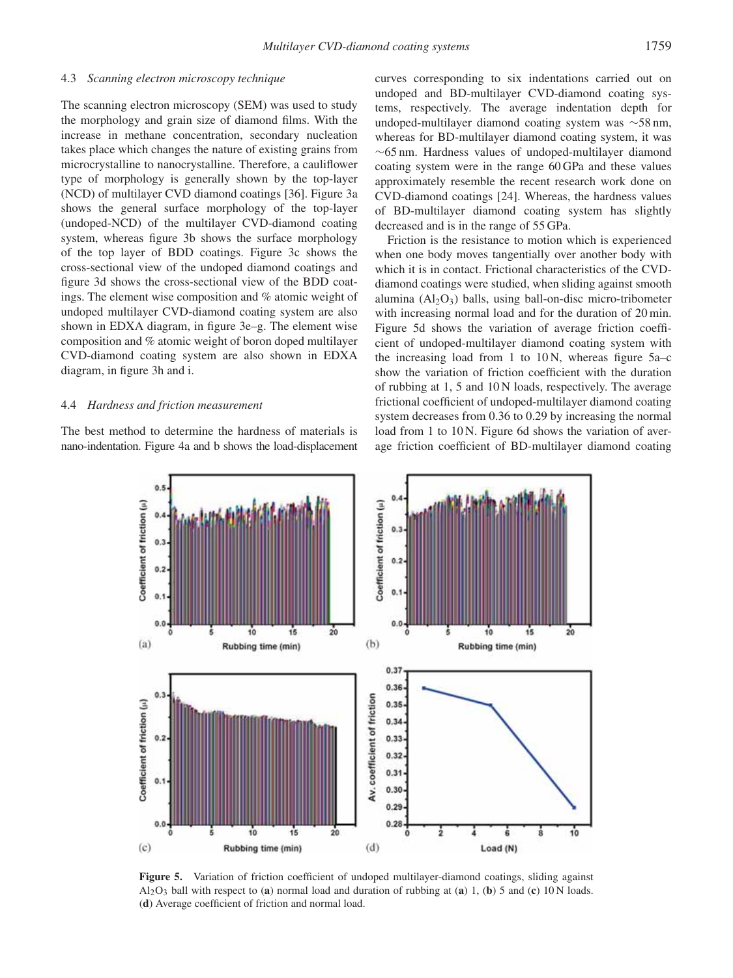## 4.3 *Scanning electron microscopy technique*

The scanning electron microscopy (SEM) was used to study the morphology and grain size of diamond films. With the increase in methane concentration, secondary nucleation takes place which changes the nature of existing grains from microcrystalline to nanocrystalline. Therefore, a cauliflower type of morphology is generally shown by the top-layer (NCD) of multilayer CVD diamond coatings [36]. Figure 3a shows the general surface morphology of the top-layer (undoped-NCD) of the multilayer CVD-diamond coating system, whereas figure 3b shows the surface morphology of the top layer of BDD coatings. Figure 3c shows the cross-sectional view of the undoped diamond coatings and figure 3d shows the cross-sectional view of the BDD coatings. The element wise composition and % atomic weight of undoped multilayer CVD-diamond coating system are also shown in EDXA diagram, in figure 3e–g. The element wise composition and % atomic weight of boron doped multilayer CVD-diamond coating system are also shown in EDXA diagram, in figure 3h and i.

# 4.4 *Hardness and friction measurement*

The best method to determine the hardness of materials is nano-indentation. Figure 4a and b shows the load-displacement curves corresponding to six indentations carried out on undoped and BD-multilayer CVD-diamond coating systems, respectively. The average indentation depth for undoped-multilayer diamond coating system was ∼58 nm, whereas for BD-multilayer diamond coating system, it was ∼65 nm. Hardness values of undoped-multilayer diamond coating system were in the range 60 GPa and these values approximately resemble the recent research work done on CVD-diamond coatings [24]. Whereas, the hardness values of BD-multilayer diamond coating system has slightly decreased and is in the range of 55 GPa.

Friction is the resistance to motion which is experienced when one body moves tangentially over another body with which it is in contact. Frictional characteristics of the CVDdiamond coatings were studied, when sliding against smooth alumina  $(Al_2O_3)$  balls, using ball-on-disc micro-tribometer with increasing normal load and for the duration of 20 min. Figure 5d shows the variation of average friction coefficient of undoped-multilayer diamond coating system with the increasing load from 1 to  $10 \text{ N}$ , whereas figure  $5a-c$ show the variation of friction coefficient with the duration of rubbing at 1, 5 and 10 N loads, respectively. The average frictional coefficient of undoped-multilayer diamond coating system decreases from 0.36 to 0.29 by increasing the normal load from 1 to 10 N. Figure 6d shows the variation of average friction coefficient of BD-multilayer diamond coating



**Figure 5.** Variation of friction coefficient of undoped multilayer-diamond coatings, sliding against  $A_2O_3$  ball with respect to (**a**) normal load and duration of rubbing at (**a**) 1, (**b**) 5 and (**c**) 10 N loads. (**d**) Average coefficient of friction and normal load.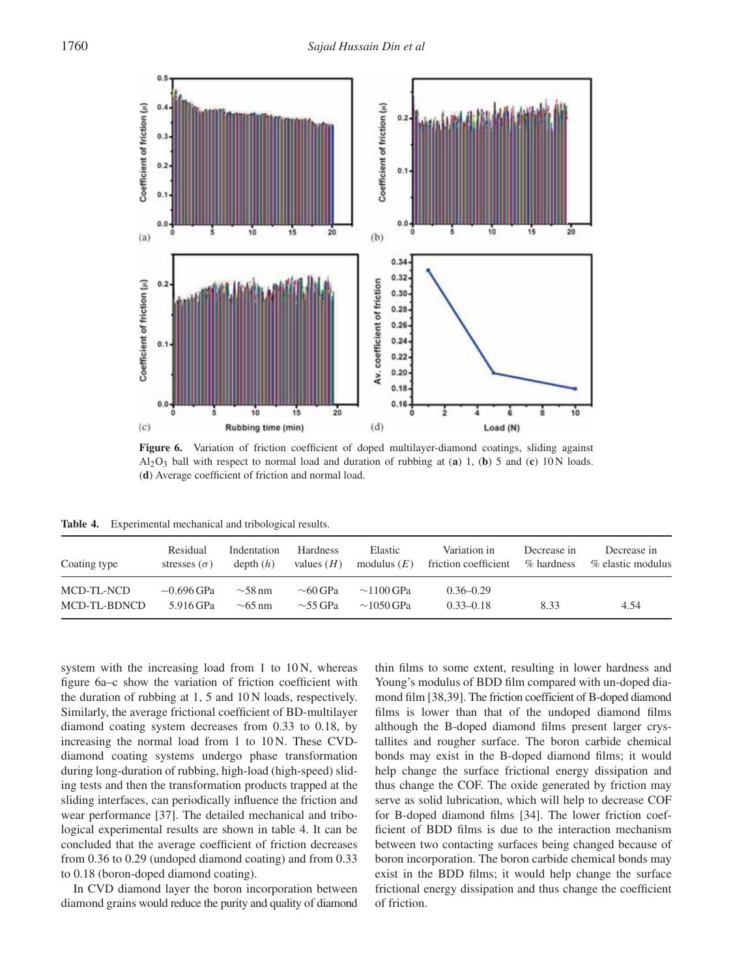

Figure 6. Variation of friction coefficient of doped multilayer-diamond coatings, sliding against  $Al_2O_3$  ball with respect to normal load and duration of rubbing at (**a**) 1, (**b**) 5 and (**c**) 10 N loads. (**d**) Average coefficient of friction and normal load.

**Table 4.** Experimental mechanical and tribological results.

| Coating type               | Residual                  | Indentation                  | <b>Hardness</b>                | Elastic                            | Variation in                   | Decrease in | Decrease in       |
|----------------------------|---------------------------|------------------------------|--------------------------------|------------------------------------|--------------------------------|-------------|-------------------|
|                            | stresses $(\sigma)$       | depth(h)                     | values $(H)$                   | modulus $(E)$                      | friction coefficient           | % hardness  | % elastic modulus |
| MCD-TL-NCD<br>MCD-TL-BDNCD | $-0.696$ GPa<br>5.916 GPa | $\sim$ 58 nm<br>$\sim$ 65 nm | $\sim$ 60 GPa<br>$\sim$ 55 GPa | $\sim$ 1100 GPa<br>$\sim$ 1050 GPa | $0.36 - 0.29$<br>$0.33 - 0.18$ | 8.33        | 4.54              |

system with the increasing load from 1 to 10 N, whereas figure 6a–c show the variation of friction coefficient with the duration of rubbing at 1, 5 and 10 N loads, respectively. Similarly, the average frictional coefficient of BD-multilayer diamond coating system decreases from 0.33 to 0.18, by increasing the normal load from 1 to 10 N. These CVDdiamond coating systems undergo phase transformation during long-duration of rubbing, high-load (high-speed) sliding tests and then the transformation products trapped at the sliding interfaces, can periodically influence the friction and wear performance [37]. The detailed mechanical and tribological experimental results are shown in table 4. It can be concluded that the average coefficient of friction decreases from 0.36 to 0.29 (undoped diamond coating) and from 0.33 to 0.18 (boron-doped diamond coating).

In CVD diamond layer the boron incorporation between diamond grains would reduce the purity and quality of diamond

thin films to some extent, resulting in lower hardness and Young's modulus of BDD film compared with un-doped diamond film [38,39]. The friction coefficient of B-doped diamond films is lower than that of the undoped diamond films although the B-doped diamond films present larger crystallites and rougher surface. The boron carbide chemical bonds may exist in the B-doped diamond films; it would help change the surface frictional energy dissipation and thus change the COF. The oxide generated by friction may serve as solid lubrication, which will help to decrease COF for B-doped diamond films [34]. The lower friction coefficient of BDD films is due to the interaction mechanism between two contacting surfaces being changed because of boron incorporation. The boron carbide chemical bonds may exist in the BDD films; it would help change the surface frictional energy dissipation and thus change the coefficient of friction.